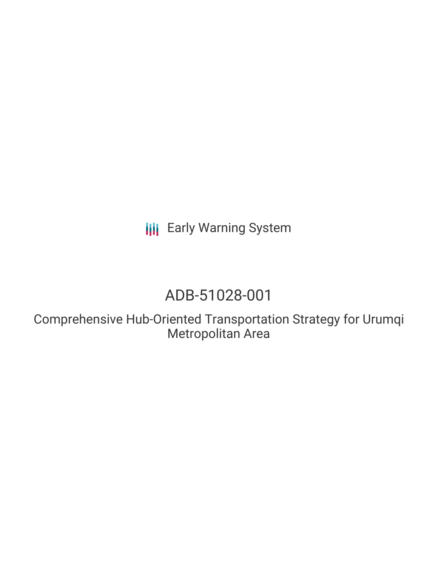**III** Early Warning System

# ADB-51028-001

Comprehensive Hub-Oriented Transportation Strategy for Urumqi Metropolitan Area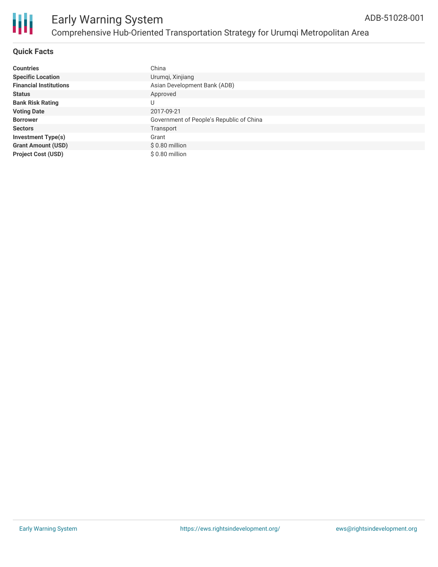

| <b>Countries</b>              | China                                    |
|-------------------------------|------------------------------------------|
| <b>Specific Location</b>      | Urumqi, Xinjiang                         |
| <b>Financial Institutions</b> | Asian Development Bank (ADB)             |
| <b>Status</b>                 | Approved                                 |
| <b>Bank Risk Rating</b>       | U                                        |
| <b>Voting Date</b>            | 2017-09-21                               |
| <b>Borrower</b>               | Government of People's Republic of China |
| <b>Sectors</b>                | Transport                                |
| <b>Investment Type(s)</b>     | Grant                                    |
| <b>Grant Amount (USD)</b>     | $$0.80$ million                          |
| <b>Project Cost (USD)</b>     | $$0.80$ million                          |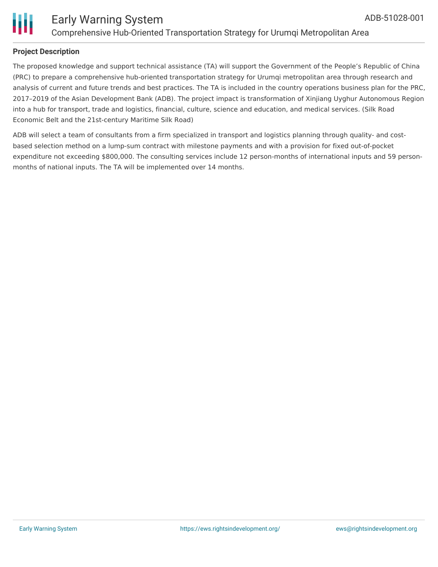

### **Project Description**

The proposed knowledge and support technical assistance (TA) will support the Government of the People's Republic of China (PRC) to prepare a comprehensive hub-oriented transportation strategy for Urumqi metropolitan area through research and analysis of current and future trends and best practices. The TA is included in the country operations business plan for the PRC, 2017–2019 of the Asian Development Bank (ADB). The project impact is transformation of Xinjiang Uyghur Autonomous Region into a hub for transport, trade and logistics, financial, culture, science and education, and medical services. (Silk Road Economic Belt and the 21st-century Maritime Silk Road)

ADB will select a team of consultants from a firm specialized in transport and logistics planning through quality- and costbased selection method on a lump-sum contract with milestone payments and with a provision for fixed out-of-pocket expenditure not exceeding \$800,000. The consulting services include 12 person-months of international inputs and 59 personmonths of national inputs. The TA will be implemented over 14 months.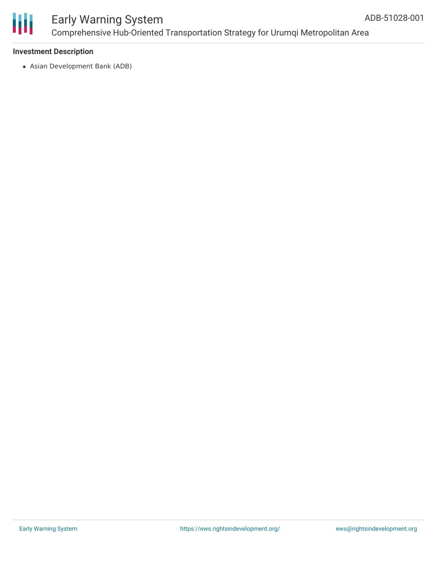

# Early Warning System Comprehensive Hub-Oriented Transportation Strategy for Urumqi Metropolitan Area

### **Investment Description**

Asian Development Bank (ADB)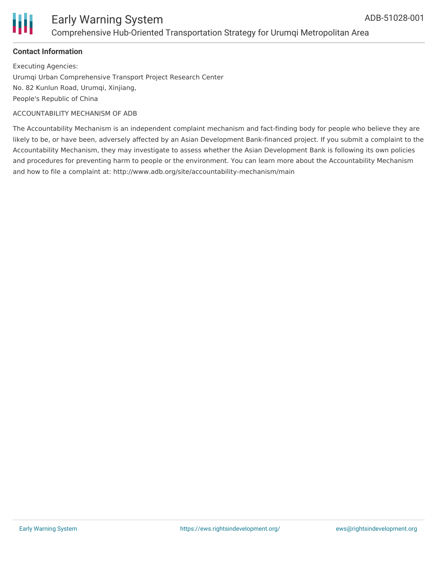

### **Contact Information**

Executing Agencies: Urumqi Urban Comprehensive Transport Project Research Center No. 82 Kunlun Road, Urumqi, Xinjiang, People's Republic of China

#### ACCOUNTABILITY MECHANISM OF ADB

The Accountability Mechanism is an independent complaint mechanism and fact-finding body for people who believe they are likely to be, or have been, adversely affected by an Asian Development Bank-financed project. If you submit a complaint to the Accountability Mechanism, they may investigate to assess whether the Asian Development Bank is following its own policies and procedures for preventing harm to people or the environment. You can learn more about the Accountability Mechanism and how to file a complaint at: http://www.adb.org/site/accountability-mechanism/main